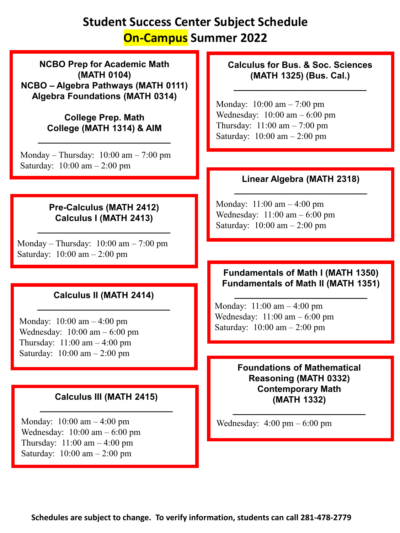## **Student Success Center Subject Schedule On-Campus Summer 2022**

**NCBO Prep for Academic Math (MATH 0104) NCBO – Algebra Pathways (MATH 0111) Algebra Foundations (MATH 0314)**

> **College Prep. Math College (MATH 1314) & AIM**

**\_\_\_\_\_\_\_\_\_\_\_\_\_\_\_\_\_\_\_\_\_\_\_\_\_\_\_**

Monday – Thursday:  $10:00 \text{ am} - 7:00 \text{ pm}$ Saturday: 10:00 am – 2:00 pm

### **Pre-Calculus (MATH 2412) Calculus I (MATH 2413)**

**\_\_\_\_\_\_\_\_\_\_\_\_\_\_\_\_\_\_\_\_\_\_\_\_\_\_\_**

Monday – Thursday:  $10:00$  am –  $7:00$  pm Saturday: 10:00 am – 2:00 pm

## **Calculus II (MATH 2414) \_\_\_\_\_\_\_\_\_\_\_\_\_\_\_\_\_\_\_\_\_\_\_\_\_\_\_**

Monday: 10:00 am – 4:00 pm Wednesday: 10:00 am – 6:00 pm Thursday: 11:00 am – 4:00 pm Saturday: 10:00 am – 2:00 pm

## **Calculus III (MATH 2415) \_\_\_\_\_\_\_\_\_\_\_\_\_\_\_\_\_\_\_\_\_\_\_\_\_\_\_**

Monday: 10:00 am – 4:00 pm Wednesday: 10:00 am – 6:00 pm Thursday: 11:00 am – 4:00 pm Saturday: 10:00 am – 2:00 pm

### **Calculus for Bus. & Soc. Sciences (MATH 1325) (Bus. Cal.)**

**\_\_\_\_\_\_\_\_\_\_\_\_\_\_\_\_\_\_\_\_\_\_\_\_\_\_\_**

Monday: 10:00 am – 7:00 pm Wednesday: 10:00 am – 6:00 pm Thursday: 11:00 am – 7:00 pm Saturday: 10:00 am – 2:00 pm

## **Linear Algebra (MATH 2318) \_\_\_\_\_\_\_\_\_\_\_\_\_\_\_\_\_\_\_\_\_\_\_\_\_\_\_**

Monday: 11:00 am – 4:00 pm Wednesday: 11:00 am – 6:00 pm Saturday: 10:00 am – 2:00 pm

#### **Fundamentals of Math I (MATH 1350) Fundamentals of Math II (MATH 1351)**

**\_\_\_\_\_\_\_\_\_\_\_\_\_\_\_\_\_\_\_\_\_\_\_\_\_\_\_**

Monday: 11:00 am – 4:00 pm Wednesday: 11:00 am – 6:00 pm Saturday: 10:00 am – 2:00 pm

> **Foundations of Mathematical Reasoning (MATH 0332) Contemporary Math (MATH 1332)**

**\_\_\_\_\_\_\_\_\_\_\_\_\_\_\_\_\_\_\_\_\_\_\_\_\_\_\_**

Wednesday: 4:00 pm – 6:00 pm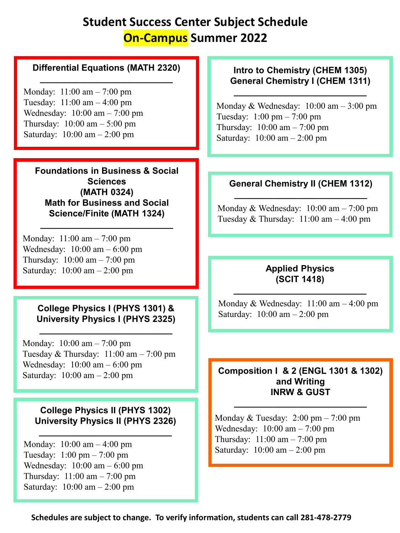# **Student Success Center Subject Schedule On-Campus Summer 2022**

#### **Differential Equations (MATH 2320) \_\_\_\_\_\_\_\_\_\_\_\_\_\_\_\_\_\_\_\_\_\_\_\_\_\_\_**

Monday: 11:00 am – 7:00 pm Tuesday: 11:00 am – 4:00 pm Wednesday: 10:00 am – 7:00 pm Thursday: 10:00 am – 5:00 pm Saturday: 10:00 am – 2:00 pm

**Foundations in Business & Social Sciences (MATH 0324) Math for Business and Social Science/Finite (MATH 1324)**

**\_\_\_\_\_\_\_\_\_\_\_\_\_\_\_\_\_\_\_\_\_\_\_\_\_\_\_**

Monday: 11:00 am – 7:00 pm Wednesday: 10:00 am – 6:00 pm Thursday: 10:00 am – 7:00 pm Saturday: 10:00 am – 2:00 pm

#### **College Physics I (PHYS 1301) & University Physics I (PHYS 2325)**

**\_\_\_\_\_\_\_\_\_\_\_\_\_\_\_\_\_\_\_\_\_\_\_\_\_\_\_**

Monday: 10:00 am – 7:00 pm Tuesday & Thursday:  $11:00 \text{ am} - 7:00 \text{ pm}$ Wednesday: 10:00 am – 6:00 pm Saturday: 10:00 am – 2:00 pm

#### **College Physics II (PHYS 1302) University Physics II (PHYS 2326)**

**\_\_\_\_\_\_\_\_\_\_\_\_\_\_\_\_\_\_\_\_\_\_\_\_\_\_\_**

Monday: 10:00 am – 4:00 pm Tuesday: 1:00 pm – 7:00 pm Wednesday: 10:00 am – 6:00 pm Thursday: 11:00 am – 7:00 pm Saturday: 10:00 am – 2:00 pm

### **Intro to Chemistry (CHEM 1305) General Chemistry I (CHEM 1311)**

**\_\_\_\_\_\_\_\_\_\_\_\_\_\_\_\_\_\_\_\_\_\_\_\_\_\_\_**

Monday & Wednesday: 10:00 am – 3:00 pm Tuesday: 1:00 pm – 7:00 pm Thursday: 10:00 am – 7:00 pm Saturday: 10:00 am – 2:00 pm

#### **General Chemistry II (CHEM 1312) \_\_\_\_\_\_\_\_\_\_\_\_\_\_\_\_\_\_\_\_\_\_\_\_\_\_\_**

Monday & Wednesday: 10:00 am – 7:00 pm Tuesday & Thursday:  $11:00 \text{ am} - 4:00 \text{ pm}$ 

### **Applied Physics (SCIT 1418)**

**\_\_\_\_\_\_\_\_\_\_\_\_\_\_\_\_\_\_\_\_\_\_\_\_\_\_\_**

Monday & Wednesday: 11:00 am – 4:00 pm Saturday: 10:00 am – 2:00 pm

#### **Composition I & 2 (ENGL 1301 & 1302) and Writing INRW & GUST**

**\_\_\_\_\_\_\_\_\_\_\_\_\_\_\_\_\_\_\_\_\_\_\_\_\_\_\_**

Monday & Tuesday: 2:00 pm – 7:00 pm Wednesday: 10:00 am – 7:00 pm Thursday: 11:00 am – 7:00 pm Saturday: 10:00 am – 2:00 pm